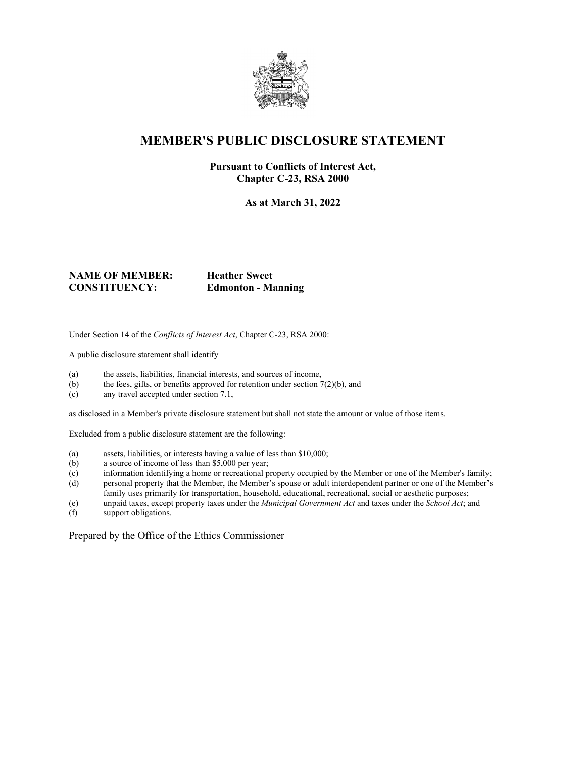

## **MEMBER'S PUBLIC DISCLOSURE STATEMENT**

### **Pursuant to Conflicts of Interest Act, Chapter C-23, RSA 2000**

**As at March 31, 2022**

#### **NAME OF MEMBER: Heather Sweet CONSTITUENCY: Edmonton - Manning**

Under Section 14 of the *Conflicts of Interest Act*, Chapter C-23, RSA 2000:

A public disclosure statement shall identify

- (a) the assets, liabilities, financial interests, and sources of income,
- (b) the fees, gifts, or benefits approved for retention under section  $7(2)(b)$ , and
- (c) any travel accepted under section 7.1,

as disclosed in a Member's private disclosure statement but shall not state the amount or value of those items.

Excluded from a public disclosure statement are the following:

- (a) assets, liabilities, or interests having a value of less than \$10,000;
- (b) a source of income of less than \$5,000 per year;
- (c) information identifying a home or recreational property occupied by the Member or one of the Member's family;
- (d) personal property that the Member, the Member's spouse or adult interdependent partner or one of the Member's family uses primarily for transportation, household, educational, recreational, social or aesthetic purposes;
- (e) unpaid taxes, except property taxes under the *Municipal Government Act* and taxes under the *School Act*; and
- support obligations.

Prepared by the Office of the Ethics Commissioner